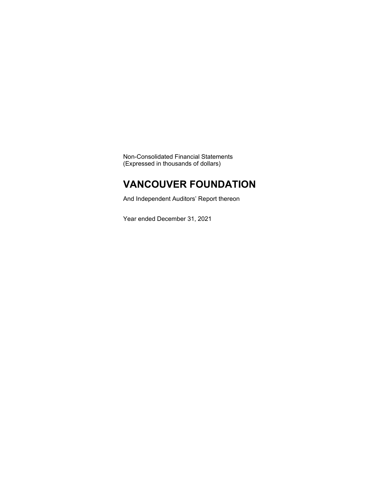Non-Consolidated Financial Statements (Expressed in thousands of dollars)

### **VANCOUVER FOUNDATION**

And Independent Auditors' Report thereon

Year ended December 31, 2021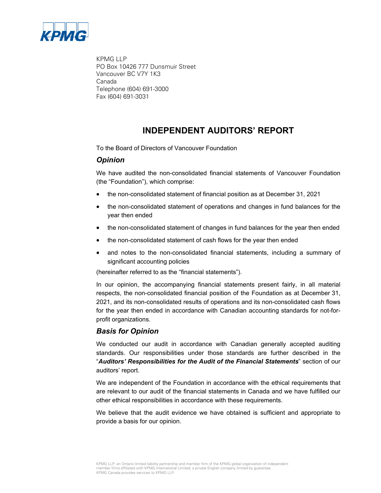

KPMG LLP PO Box 10426 777 Dunsmuir Street Vancouver BC V7Y 1K3 Canada Telephone (604) 691-3000 Fax (604) 691-3031

### **INDEPENDENT AUDITORS' REPORT**

To the Board of Directors of Vancouver Foundation

### *Opinion*

We have audited the non-consolidated financial statements of Vancouver Foundation (the "Foundation"), which comprise:

- the non-consolidated statement of financial position as at December 31, 2021
- the non-consolidated statement of operations and changes in fund balances for the year then ended
- the non-consolidated statement of changes in fund balances for the year then ended
- the non-consolidated statement of cash flows for the year then ended
- and notes to the non-consolidated financial statements, including a summary of significant accounting policies

(hereinafter referred to as the "financial statements").

In our opinion, the accompanying financial statements present fairly, in all material respects, the non-consolidated financial position of the Foundation as at December 31, 2021, and its non-consolidated results of operations and its non-consolidated cash flows for the year then ended in accordance with Canadian accounting standards for not-forprofit organizations.

### *Basis for Opinion*

We conducted our audit in accordance with Canadian generally accepted auditing standards. Our responsibilities under those standards are further described in the "*Auditors' Responsibilities for the Audit of the Financial Statements*" section of our auditors' report.

We are independent of the Foundation in accordance with the ethical requirements that are relevant to our audit of the financial statements in Canada and we have fulfilled our other ethical responsibilities in accordance with these requirements.

We believe that the audit evidence we have obtained is sufficient and appropriate to provide a basis for our opinion.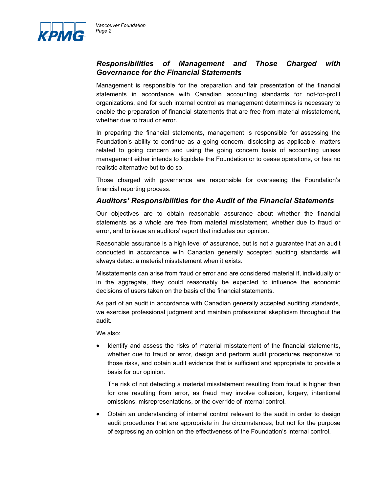

### *Responsibilities of Management and Those Charged with Governance for the Financial Statements*

Management is responsible for the preparation and fair presentation of the financial statements in accordance with Canadian accounting standards for not-for-profit organizations, and for such internal control as management determines is necessary to enable the preparation of financial statements that are free from material misstatement, whether due to fraud or error.

In preparing the financial statements, management is responsible for assessing the Foundation's ability to continue as a going concern, disclosing as applicable, matters related to going concern and using the going concern basis of accounting unless management either intends to liquidate the Foundation or to cease operations, or has no realistic alternative but to do so.

Those charged with governance are responsible for overseeing the Foundation's financial reporting process.

### *Auditors' Responsibilities for the Audit of the Financial Statements*

Our objectives are to obtain reasonable assurance about whether the financial statements as a whole are free from material misstatement, whether due to fraud or error, and to issue an auditors' report that includes our opinion.

Reasonable assurance is a high level of assurance, but is not a guarantee that an audit conducted in accordance with Canadian generally accepted auditing standards will always detect a material misstatement when it exists.

Misstatements can arise from fraud or error and are considered material if, individually or in the aggregate, they could reasonably be expected to influence the economic decisions of users taken on the basis of the financial statements.

As part of an audit in accordance with Canadian generally accepted auditing standards, we exercise professional judgment and maintain professional skepticism throughout the audit.

We also:

• Identify and assess the risks of material misstatement of the financial statements, whether due to fraud or error, design and perform audit procedures responsive to those risks, and obtain audit evidence that is sufficient and appropriate to provide a basis for our opinion.

The risk of not detecting a material misstatement resulting from fraud is higher than for one resulting from error, as fraud may involve collusion, forgery, intentional omissions, misrepresentations, or the override of internal control.

• Obtain an understanding of internal control relevant to the audit in order to design audit procedures that are appropriate in the circumstances, but not for the purpose of expressing an opinion on the effectiveness of the Foundation's internal control.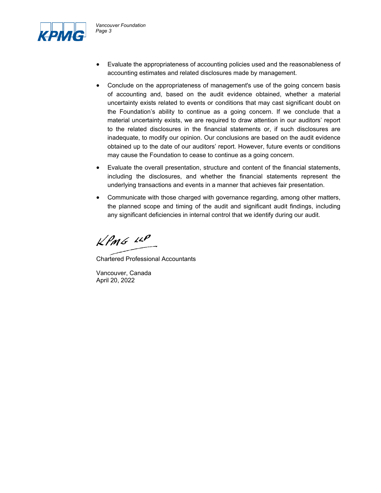



- Evaluate the appropriateness of accounting policies used and the reasonableness of accounting estimates and related disclosures made by management.
- Conclude on the appropriateness of management's use of the going concern basis of accounting and, based on the audit evidence obtained, whether a material uncertainty exists related to events or conditions that may cast significant doubt on the Foundation's ability to continue as a going concern. If we conclude that a material uncertainty exists, we are required to draw attention in our auditors' report to the related disclosures in the financial statements or, if such disclosures are inadequate, to modify our opinion. Our conclusions are based on the audit evidence obtained up to the date of our auditors' report. However, future events or conditions may cause the Foundation to cease to continue as a going concern.
- Evaluate the overall presentation, structure and content of the financial statements, including the disclosures, and whether the financial statements represent the underlying transactions and events in a manner that achieves fair presentation.
- Communicate with those charged with governance regarding, among other matters, the planned scope and timing of the audit and significant audit findings, including any significant deficiencies in internal control that we identify during our audit.

 $k$ *PMG*  $44$ 

Chartered Professional Accountants

Vancouver, Canada April 20, 2022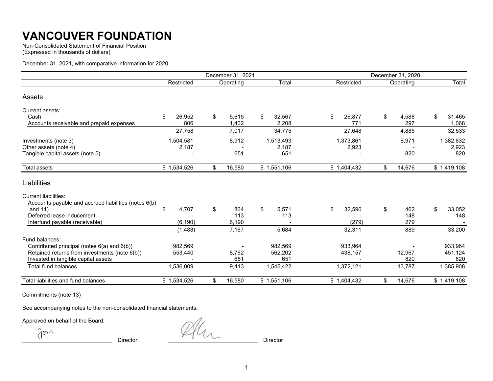Non-Consolidated Statement of Financial Position (Expressed in thousands of dollars)

December 31, 2021, with comparative information for 2020

|                                                                                                                                                                              |                                     | December 31, 2021                  |                                        |                                 | December 31, 2020              |                                        |
|------------------------------------------------------------------------------------------------------------------------------------------------------------------------------|-------------------------------------|------------------------------------|----------------------------------------|---------------------------------|--------------------------------|----------------------------------------|
|                                                                                                                                                                              | Restricted                          | Operating                          | Total                                  | Restricted                      | Operating                      | Total                                  |
| Assets                                                                                                                                                                       |                                     |                                    |                                        |                                 |                                |                                        |
| Current assets:<br>Cash<br>Accounts receivable and prepaid expenses                                                                                                          | \$<br>26,952<br>806                 | \$<br>5,615<br>1,402               | \$<br>32,567<br>2.208                  | \$<br>26,877<br>771             | \$<br>4,588<br>297             | \$<br>31,465<br>1,068                  |
| Investments (note 3)<br>Other assets (note 4)<br>Tangible capital assets (note 5)                                                                                            | 27,758<br>1,504,581<br>2,187        | 7,017<br>8,912<br>651              | 34,775<br>1,513,493<br>2,187<br>651    | 27,648<br>1,373,861<br>2,923    | 4,885<br>8,971<br>820          | 32,533<br>1,382,832<br>2,923<br>820    |
| <b>Total assets</b>                                                                                                                                                          | \$1,534,526                         | \$<br>16,580                       | \$1,551,106                            | \$1,404,432                     | \$<br>14,676                   | \$1,419,108                            |
| Liabilities                                                                                                                                                                  |                                     |                                    |                                        |                                 |                                |                                        |
| <b>Current liabilities:</b><br>Accounts payable and accrued liabilities (notes 6(b)<br>and $11$ )<br>Deferred lease inducement<br>Interfund payable (receivable)             | \$<br>4,707<br>(6, 190)<br>(1, 483) | \$<br>864<br>113<br>6,190<br>7,167 | \$<br>5,571<br>113<br>5,684            | \$<br>32,590<br>(279)<br>32,311 | \$<br>462<br>148<br>279<br>889 | \$<br>33,052<br>148<br>33,200          |
| Fund balances:<br>Contributed principal (notes 6(a) and 6(b))<br>Retained returns from investments (note 6(b))<br>Invested in tangible capital assets<br>Total fund balances | 982,569<br>553,440<br>1,536,009     | 8,762<br>651<br>9,413              | 982,569<br>562,202<br>651<br>1,545,422 | 933,964<br>438,157<br>1,372,121 | 12,967<br>820<br>13,787        | 933,964<br>451,124<br>820<br>1,385,908 |
| Total liabilities and fund balances                                                                                                                                          | \$1,534,526                         | \$<br>16,580                       | \$1,551,106                            | \$1,404,432                     | \$<br>14,676                   | \$1,419,108                            |

Commitments (note 13)

See accompanying notes to the non-consolidated financial statements.

Approved on behalf of the Board:

Jan

Director Director Director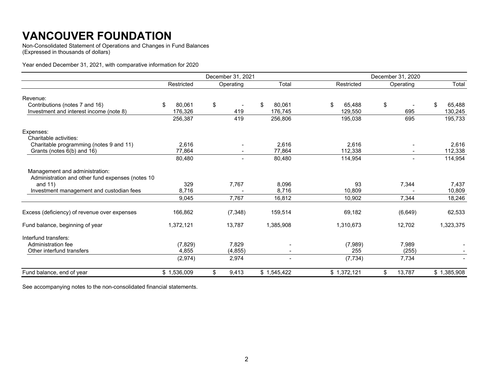Non-Consolidated Statement of Operations and Changes in Fund Balances (Expressed in thousands of dollars)

Year ended December 31, 2021, with comparative information for 2020

|                                                                                    |                   | December 31, 2021        |                   |                         | December 31, 2020 |                         |
|------------------------------------------------------------------------------------|-------------------|--------------------------|-------------------|-------------------------|-------------------|-------------------------|
|                                                                                    | Restricted        | Operating                | Total             | Restricted              | Operating         | Total                   |
| Revenue:                                                                           |                   |                          |                   |                         |                   |                         |
| Contributions (notes 7 and 16)<br>Investment and interest income (note 8)          | 80,061<br>176,326 | \$<br>419                | 80,061<br>176,745 | 65,488<br>\$<br>129,550 | \$<br>695         | \$<br>65,488<br>130,245 |
|                                                                                    | 256,387           | 419                      | 256,806           | 195,038                 | 695               | 195,733                 |
| Expenses:<br>Charitable activities:                                                |                   |                          |                   |                         |                   |                         |
| Charitable programming (notes 9 and 11)<br>Grants (notes 6(b) and 16)              | 2,616<br>77,864   |                          | 2,616<br>77,864   | 2,616<br>112,338        |                   | 2,616<br>112,338        |
|                                                                                    | 80,480            | $\overline{\phantom{a}}$ | 80,480            | 114,954                 |                   | 114,954                 |
| Management and administration:<br>Administration and other fund expenses (notes 10 |                   |                          |                   |                         |                   |                         |
| and $11$ )<br>Investment management and custodian fees                             | 329<br>8,716      | 7,767                    | 8,096<br>8,716    | 93<br>10,809            | 7,344             | 7,437<br>10,809         |
|                                                                                    | 9,045             | 7,767                    | 16,812            | 10,902                  | 7,344             | 18,246                  |
| Excess (deficiency) of revenue over expenses                                       | 166,862           | (7, 348)                 | 159,514           | 69,182                  | (6, 649)          | 62,533                  |
| Fund balance, beginning of year                                                    | 1,372,121         | 13,787                   | 1,385,908         | 1,310,673               | 12,702            | 1,323,375               |
| Interfund transfers:                                                               |                   |                          |                   |                         |                   |                         |
| Administration fee<br>Other interfund transfers                                    | (7, 829)<br>4,855 | 7,829<br>(4, 855)        |                   | (7,989)<br>255          | 7,989<br>(255)    |                         |
|                                                                                    | (2,974)           | 2,974                    |                   | (7, 734)                | 7,734             |                         |
| Fund balance, end of year                                                          | \$1,536,009       | \$<br>9,413              | \$1,545,422       | \$1,372,121             | 13,787<br>\$      | \$1,385,908             |

See accompanying notes to the non-consolidated financial statements.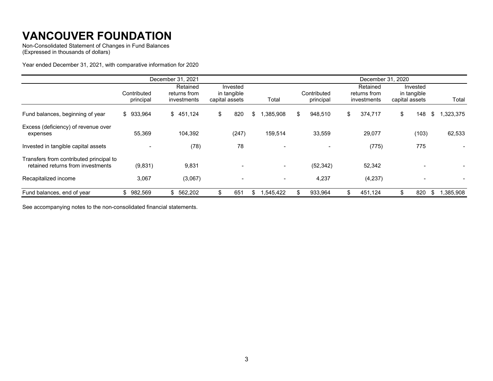Non-Consolidated Statement of Changes in Fund Balances (Expressed in thousands of dollars)

Year ended December 31, 2021, with comparative information for 2020

|                                                                              |                          | December 31, 2021                       |                                           |                          |                          | December 31, 2020                       |                                           |           |
|------------------------------------------------------------------------------|--------------------------|-----------------------------------------|-------------------------------------------|--------------------------|--------------------------|-----------------------------------------|-------------------------------------------|-----------|
|                                                                              | Contributed<br>principal | Retained<br>returns from<br>investments | Invested<br>in tangible<br>capital assets | Total                    | Contributed<br>principal | Retained<br>returns from<br>investments | Invested<br>in tangible<br>capital assets | Total     |
| Fund balances, beginning of year                                             | 933,964<br>\$            | 451,124<br>\$                           | \$<br>820                                 | ,385,908<br>\$           | 948,510<br>\$            | 374,717<br>\$                           | \$<br>148<br>S                            | 1,323,375 |
| Excess (deficiency) of revenue over<br>expenses                              | 55,369                   | 104,392                                 | (247)                                     | 159,514                  | 33,559                   | 29,077                                  | (103)                                     | 62,533    |
| Invested in tangible capital assets                                          |                          | (78)                                    | 78                                        |                          |                          | (775)                                   | 775                                       |           |
| Transfers from contributed principal to<br>retained returns from investments | (9,831)                  | 9,831                                   |                                           | $\blacksquare$           | (52, 342)                | 52,342                                  |                                           |           |
| Recapitalized income                                                         | 3,067                    | (3,067)                                 |                                           | $\overline{\phantom{a}}$ | 4,237                    | (4,237)                                 |                                           |           |
| Fund balances, end of year                                                   | 982,569<br>\$            | 562,202<br>\$                           | 651<br>ж.                                 | .545,422<br>\$           | 933,964<br>\$.           | 451,124<br>\$.                          | 820<br>\$                                 | ,385,908  |

See accompanying notes to the non-consolidated financial statements.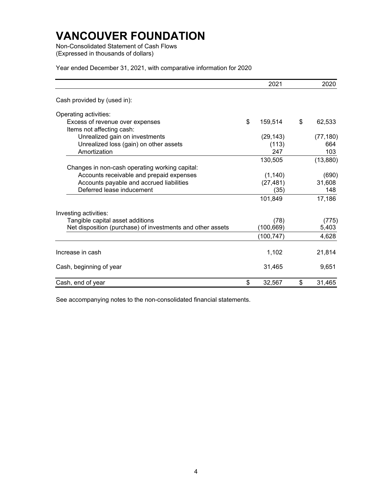Non-Consolidated Statement of Cash Flows (Expressed in thousands of dollars)

Year ended December 31, 2021, with comparative information for 2020

|                                                            | 2021          | 2020         |
|------------------------------------------------------------|---------------|--------------|
| Cash provided by (used in):                                |               |              |
| Operating activities:                                      |               |              |
| Excess of revenue over expenses                            | \$<br>159,514 | \$<br>62,533 |
| Items not affecting cash:                                  |               |              |
| Unrealized gain on investments                             | (29, 143)     | (77, 180)    |
| Unrealized loss (gain) on other assets                     | (113)         | 664          |
| Amortization                                               | 247           | 103          |
|                                                            | 130,505       | (13, 880)    |
| Changes in non-cash operating working capital:             |               |              |
| Accounts receivable and prepaid expenses                   | (1, 140)      | (690)        |
| Accounts payable and accrued liabilities                   | (27, 481)     | 31,608       |
| Deferred lease inducement                                  | (35)          | 148          |
|                                                            | 101,849       | 17,186       |
| Investing activities:                                      |               |              |
| Tangible capital asset additions                           | (78)          | (775)        |
| Net disposition (purchase) of investments and other assets | (100, 669)    | 5,403        |
|                                                            | (100, 747)    | 4,628        |
| Increase in cash                                           | 1,102         | 21,814       |
| Cash, beginning of year                                    | 31,465        | 9,651        |
| Cash, end of year                                          | \$<br>32,567  | \$<br>31,465 |

See accompanying notes to the non-consolidated financial statements.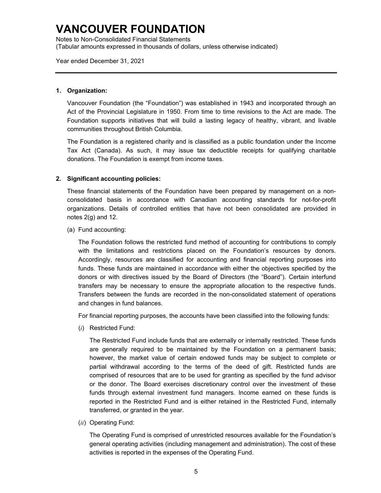Notes to Non-Consolidated Financial Statements (Tabular amounts expressed in thousands of dollars, unless otherwise indicated)

Year ended December 31, 2021

#### **1. Organization:**

Vancouver Foundation (the "Foundation") was established in 1943 and incorporated through an Act of the Provincial Legislature in 1950. From time to time revisions to the Act are made. The Foundation supports initiatives that will build a lasting legacy of healthy, vibrant, and livable communities throughout British Columbia.

The Foundation is a registered charity and is classified as a public foundation under the Income Tax Act (Canada). As such, it may issue tax deductible receipts for qualifying charitable donations. The Foundation is exempt from income taxes.

### **2. Significant accounting policies:**

These financial statements of the Foundation have been prepared by management on a nonconsolidated basis in accordance with Canadian accounting standards for not-for-profit organizations. Details of controlled entities that have not been consolidated are provided in notes  $2(q)$  and 12.

(a) Fund accounting:

The Foundation follows the restricted fund method of accounting for contributions to comply with the limitations and restrictions placed on the Foundation's resources by donors. Accordingly, resources are classified for accounting and financial reporting purposes into funds. These funds are maintained in accordance with either the objectives specified by the donors or with directives issued by the Board of Directors (the "Board"). Certain interfund transfers may be necessary to ensure the appropriate allocation to the respective funds. Transfers between the funds are recorded in the non-consolidated statement of operations and changes in fund balances.

For financial reporting purposes, the accounts have been classified into the following funds:

(*i*) Restricted Fund:

The Restricted Fund include funds that are externally or internally restricted. These funds are generally required to be maintained by the Foundation on a permanent basis; however, the market value of certain endowed funds may be subject to complete or partial withdrawal according to the terms of the deed of gift. Restricted funds are comprised of resources that are to be used for granting as specified by the fund advisor or the donor. The Board exercises discretionary control over the investment of these funds through external investment fund managers. Income earned on these funds is reported in the Restricted Fund and is either retained in the Restricted Fund, internally transferred, or granted in the year.

(*ii*) Operating Fund:

The Operating Fund is comprised of unrestricted resources available for the Foundation's general operating activities (including management and administration). The cost of these activities is reported in the expenses of the Operating Fund.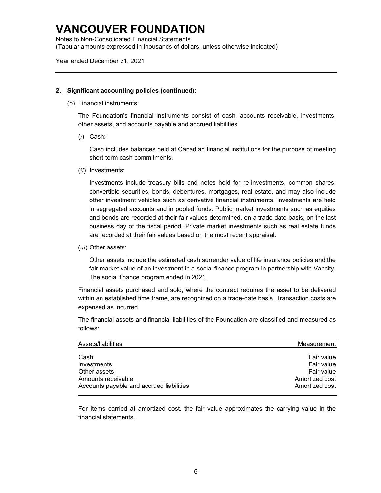Notes to Non-Consolidated Financial Statements (Tabular amounts expressed in thousands of dollars, unless otherwise indicated)

Year ended December 31, 2021

#### **2. Significant accounting policies (continued):**

(b) Financial instruments:

The Foundation's financial instruments consist of cash, accounts receivable, investments, other assets, and accounts payable and accrued liabilities.

(*i*) Cash:

Cash includes balances held at Canadian financial institutions for the purpose of meeting short-term cash commitments.

(*ii*) Investments:

Investments include treasury bills and notes held for re-investments, common shares, convertible securities, bonds, debentures, mortgages, real estate, and may also include other investment vehicles such as derivative financial instruments. Investments are held in segregated accounts and in pooled funds. Public market investments such as equities and bonds are recorded at their fair values determined, on a trade date basis, on the last business day of the fiscal period. Private market investments such as real estate funds are recorded at their fair values based on the most recent appraisal.

(*iii*) Other assets:

Other assets include the estimated cash surrender value of life insurance policies and the fair market value of an investment in a social finance program in partnership with Vancity. The social finance program ended in 2021.

Financial assets purchased and sold, where the contract requires the asset to be delivered within an established time frame, are recognized on a trade-date basis. Transaction costs are expensed as incurred.

The financial assets and financial liabilities of the Foundation are classified and measured as follows:

| Assets/liabilities                       | Measurement    |
|------------------------------------------|----------------|
| Cash                                     | Fair value     |
| Investments                              | Fair value     |
| Other assets                             | Fair value     |
| Amounts receivable                       | Amortized cost |
| Accounts payable and accrued liabilities | Amortized cost |

For items carried at amortized cost, the fair value approximates the carrying value in the financial statements.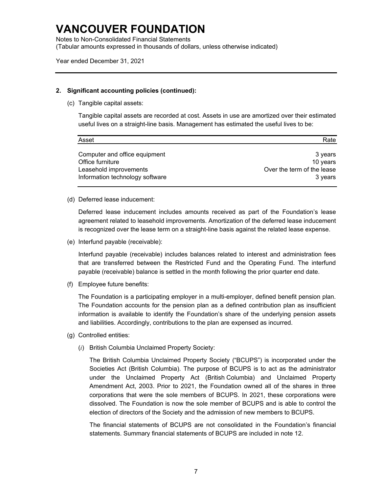Notes to Non-Consolidated Financial Statements (Tabular amounts expressed in thousands of dollars, unless otherwise indicated)

Year ended December 31, 2021

### **2. Significant accounting policies (continued):**

(c) Tangible capital assets:

Tangible capital assets are recorded at cost. Assets in use are amortized over their estimated useful lives on a straight-line basis. Management has estimated the useful lives to be:

| Asset                           | Rate                       |
|---------------------------------|----------------------------|
|                                 |                            |
| Computer and office equipment   | 3 years                    |
| Office furniture                | 10 years                   |
| Leasehold improvements          | Over the term of the lease |
| Information technology software | 3 years                    |

(d) Deferred lease inducement:

Deferred lease inducement includes amounts received as part of the Foundation's lease agreement related to leasehold improvements. Amortization of the deferred lease inducement is recognized over the lease term on a straight-line basis against the related lease expense.

(e) Interfund payable (receivable):

Interfund payable (receivable) includes balances related to interest and administration fees that are transferred between the Restricted Fund and the Operating Fund. The interfund payable (receivable) balance is settled in the month following the prior quarter end date.

(f) Employee future benefits:

The Foundation is a participating employer in a multi-employer, defined benefit pension plan. The Foundation accounts for the pension plan as a defined contribution plan as insufficient information is available to identify the Foundation's share of the underlying pension assets and liabilities. Accordingly, contributions to the plan are expensed as incurred.

- (g) Controlled entities:
	- (*i*) British Columbia Unclaimed Property Society:

The British Columbia Unclaimed Property Society ("BCUPS") is incorporated under the Societies Act (British Columbia). The purpose of BCUPS is to act as the administrator under the Unclaimed Property Act (British Columbia) and Unclaimed Property Amendment Act, 2003. Prior to 2021, the Foundation owned all of the shares in three corporations that were the sole members of BCUPS. In 2021, these corporations were dissolved. The Foundation is now the sole member of BCUPS and is able to control the election of directors of the Society and the admission of new members to BCUPS.

The financial statements of BCUPS are not consolidated in the Foundation's financial statements. Summary financial statements of BCUPS are included in note 12.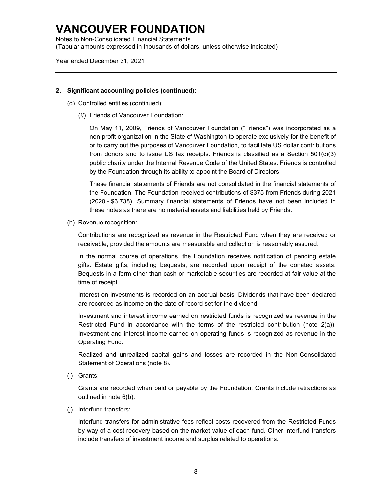Notes to Non-Consolidated Financial Statements (Tabular amounts expressed in thousands of dollars, unless otherwise indicated)

Year ended December 31, 2021

#### **2. Significant accounting policies (continued):**

- (g) Controlled entities (continued):
	- (*ii*) Friends of Vancouver Foundation:

On May 11, 2009, Friends of Vancouver Foundation ("Friends") was incorporated as a non-profit organization in the State of Washington to operate exclusively for the benefit of or to carry out the purposes of Vancouver Foundation, to facilitate US dollar contributions from donors and to issue US tax receipts. Friends is classified as a Section 501(c)(3) public charity under the Internal Revenue Code of the United States. Friends is controlled by the Foundation through its ability to appoint the Board of Directors.

These financial statements of Friends are not consolidated in the financial statements of the Foundation. The Foundation received contributions of \$375 from Friends during 2021 (2020 - \$3,738). Summary financial statements of Friends have not been included in these notes as there are no material assets and liabilities held by Friends.

(h) Revenue recognition:

Contributions are recognized as revenue in the Restricted Fund when they are received or receivable, provided the amounts are measurable and collection is reasonably assured.

In the normal course of operations, the Foundation receives notification of pending estate gifts. Estate gifts, including bequests, are recorded upon receipt of the donated assets. Bequests in a form other than cash or marketable securities are recorded at fair value at the time of receipt.

Interest on investments is recorded on an accrual basis. Dividends that have been declared are recorded as income on the date of record set for the dividend.

Investment and interest income earned on restricted funds is recognized as revenue in the Restricted Fund in accordance with the terms of the restricted contribution (note 2(a)). Investment and interest income earned on operating funds is recognized as revenue in the Operating Fund.

Realized and unrealized capital gains and losses are recorded in the Non-Consolidated Statement of Operations (note 8).

(i) Grants:

Grants are recorded when paid or payable by the Foundation. Grants include retractions as outlined in note 6(b).

(j) Interfund transfers:

Interfund transfers for administrative fees reflect costs recovered from the Restricted Funds by way of a cost recovery based on the market value of each fund. Other interfund transfers include transfers of investment income and surplus related to operations.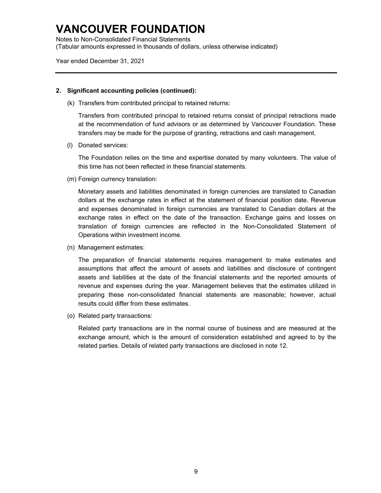Notes to Non-Consolidated Financial Statements (Tabular amounts expressed in thousands of dollars, unless otherwise indicated)

Year ended December 31, 2021

### **2. Significant accounting policies (continued):**

(k) Transfers from contributed principal to retained returns:

Transfers from contributed principal to retained returns consist of principal retractions made at the recommendation of fund advisors or as determined by Vancouver Foundation. These transfers may be made for the purpose of granting, retractions and cash management.

(l) Donated services:

The Foundation relies on the time and expertise donated by many volunteers. The value of this time has not been reflected in these financial statements.

(m) Foreign currency translation:

Monetary assets and liabilities denominated in foreign currencies are translated to Canadian dollars at the exchange rates in effect at the statement of financial position date. Revenue and expenses denominated in foreign currencies are translated to Canadian dollars at the exchange rates in effect on the date of the transaction. Exchange gains and losses on translation of foreign currencies are reflected in the Non-Consolidated Statement of Operations within investment income.

(n) Management estimates:

The preparation of financial statements requires management to make estimates and assumptions that affect the amount of assets and liabilities and disclosure of contingent assets and liabilities at the date of the financial statements and the reported amounts of revenue and expenses during the year. Management believes that the estimates utilized in preparing these non-consolidated financial statements are reasonable; however, actual results could differ from these estimates.

(o) Related party transactions:

Related party transactions are in the normal course of business and are measured at the exchange amount, which is the amount of consideration established and agreed to by the related parties. Details of related party transactions are disclosed in note 12.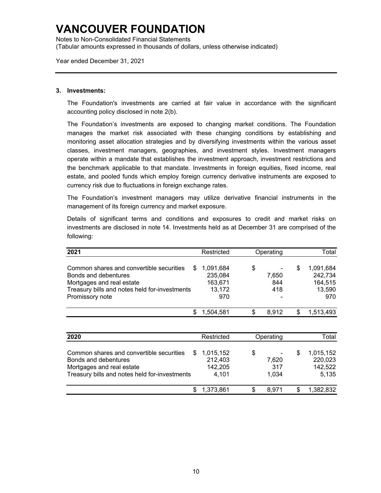Notes to Non-Consolidated Financial Statements (Tabular amounts expressed in thousands of dollars, unless otherwise indicated)

Year ended December 31, 2021

#### **3. Investments:**

The Foundation's investments are carried at fair value in accordance with the significant accounting policy disclosed in note 2(b).

The Foundation's investments are exposed to changing market conditions. The Foundation manages the market risk associated with these changing conditions by establishing and monitoring asset allocation strategies and by diversifying investments within the various asset classes, investment managers, geographies, and investment styles. Investment managers operate within a mandate that establishes the investment approach, investment restrictions and the benchmark applicable to that mandate. Investments in foreign equities, fixed income, real estate, and pooled funds which employ foreign currency derivative instruments are exposed to currency risk due to fluctuations in foreign exchange rates.

The Foundation's investment managers may utilize derivative financial instruments in the management of its foreign currency and market exposure.

Details of significant terms and conditions and exposures to credit and market risks on investments are disclosed in note 14. Investments held as at December 31 are comprised of the following:

| 2021                                                                                                                                                              |     | Restricted                                       |    | Operating           | Total                                                  |
|-------------------------------------------------------------------------------------------------------------------------------------------------------------------|-----|--------------------------------------------------|----|---------------------|--------------------------------------------------------|
| Common shares and convertible securities<br>Bonds and debentures<br>Mortgages and real estate<br>Treasury bills and notes held for-investments<br>Promissory note | \$. | 1,091,684<br>235,084<br>163,671<br>13,172<br>970 | \$ | 7,650<br>844<br>418 | \$<br>1,091,684<br>242,734<br>164,515<br>13,590<br>970 |
|                                                                                                                                                                   | \$  | 1,504,581                                        | \$ | 8,912               | \$<br>1,513,493                                        |
| 2020                                                                                                                                                              |     | Restricted                                       |    | Operating           | Total                                                  |
| Common shares and convertible securities<br>Bonds and debentures<br>Mortgages and real estate                                                                     | \$. | 1,015,152<br>212,403<br>142,205                  | \$ | 7.620<br>317        | \$<br>1,015,152<br>220,023<br>142,522                  |

Treasury bills and notes held for-investments  $4,101$  1,034 5,135

\$ 1,373,861 \$ 8,971 \$ 1,382,832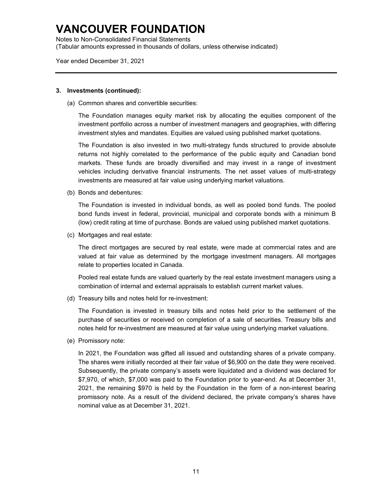Notes to Non-Consolidated Financial Statements (Tabular amounts expressed in thousands of dollars, unless otherwise indicated)

Year ended December 31, 2021

#### **3. Investments (continued):**

(a) Common shares and convertible securities:

The Foundation manages equity market risk by allocating the equities component of the investment portfolio across a number of investment managers and geographies, with differing investment styles and mandates. Equities are valued using published market quotations.

The Foundation is also invested in two multi-strategy funds structured to provide absolute returns not highly correlated to the performance of the public equity and Canadian bond markets. These funds are broadly diversified and may invest in a range of investment vehicles including derivative financial instruments. The net asset values of multi-strategy investments are measured at fair value using underlying market valuations.

(b) Bonds and debentures:

The Foundation is invested in individual bonds, as well as pooled bond funds. The pooled bond funds invest in federal, provincial, municipal and corporate bonds with a minimum B (low) credit rating at time of purchase. Bonds are valued using published market quotations.

(c) Mortgages and real estate:

The direct mortgages are secured by real estate, were made at commercial rates and are valued at fair value as determined by the mortgage investment managers. All mortgages relate to properties located in Canada.

Pooled real estate funds are valued quarterly by the real estate investment managers using a combination of internal and external appraisals to establish current market values.

(d) Treasury bills and notes held for re-investment:

The Foundation is invested in treasury bills and notes held prior to the settlement of the purchase of securities or received on completion of a sale of securities. Treasury bills and notes held for re-investment are measured at fair value using underlying market valuations.

(e) Promissory note:

In 2021, the Foundation was gifted all issued and outstanding shares of a private company. The shares were initially recorded at their fair value of \$6,900 on the date they were received. Subsequently, the private company's assets were liquidated and a dividend was declared for \$7,970, of which, \$7,000 was paid to the Foundation prior to year-end. As at December 31, 2021, the remaining \$970 is held by the Foundation in the form of a non-interest bearing promissory note. As a result of the dividend declared, the private company's shares have nominal value as at December 31, 2021.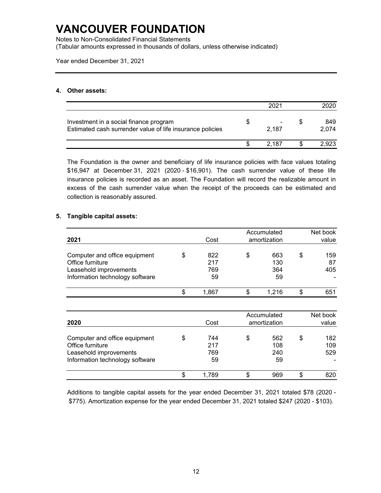Notes to Non-Consolidated Financial Statements (Tabular amounts expressed in thousands of dollars, unless otherwise indicated)

Year ended December 31, 2021

#### **4. Other assets:**

|                                                                                                     | 2021  | 2020         |
|-----------------------------------------------------------------------------------------------------|-------|--------------|
| Investment in a social finance program<br>Estimated cash surrender value of life insurance policies | 2.187 | 849<br>2.074 |
|                                                                                                     | 2.187 | .923         |

The Foundation is the owner and beneficiary of life insurance policies with face values totaling \$16,947 at December 31, 2021 (2020 - \$16,901). The cash surrender value of these life insurance policies is recorded as an asset. The Foundation will record the realizable amount in excess of the cash surrender value when the receipt of the proceeds can be estimated and collection is reasonably assured.

### **5. Tangible capital assets:**

|                                 |             | Accumulated  | Net book  |
|---------------------------------|-------------|--------------|-----------|
| 2021                            | Cost        | amortization | value     |
| Computer and office equipment   | \$<br>822   | \$<br>663    | \$<br>159 |
| Office furniture                | 217         | 130          | 87        |
| Leasehold improvements          | 769         | 364          | 405       |
| Information technology software | 59          | 59           |           |
|                                 | \$<br>1,867 | \$<br>1,216  | \$<br>651 |
|                                 |             |              |           |
|                                 |             | Accumulated  | Net book  |
| 2020                            | Cost        | amortization | value     |
| Computer and office equipment   | \$<br>744   | \$<br>562    | \$<br>182 |
| Office furniture                | 217         | 108          | 109       |
| Leasehold improvements          | 769         | 240          | 529       |
| Information technology software | 59          | 59           |           |
|                                 | \$<br>1,789 | \$<br>969    | \$<br>820 |

Additions to tangible capital assets for the year ended December 31, 2021 totaled \$78 (2020 - \$775). Amortization expense for the year ended December 31, 2021 totaled \$247 (2020 - \$103).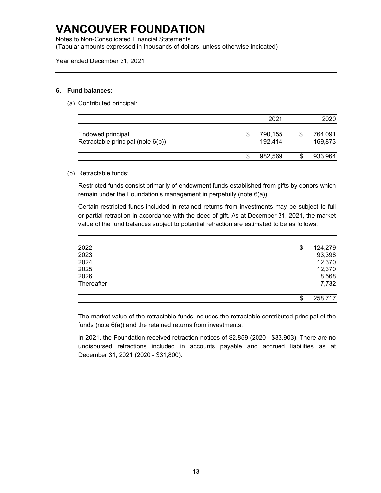Notes to Non-Consolidated Financial Statements (Tabular amounts expressed in thousands of dollars, unless otherwise indicated)

Year ended December 31, 2021

### **6. Fund balances:**

(a) Contributed principal:

|                                                        | 2021               |   | 2020               |
|--------------------------------------------------------|--------------------|---|--------------------|
| Endowed principal<br>Retractable principal (note 6(b)) | 790,155<br>192,414 | S | 764,091<br>169,873 |
|                                                        | 982.569            |   | 933,964            |

### (b) Retractable funds:

Restricted funds consist primarily of endowment funds established from gifts by donors which remain under the Foundation's management in perpetuity (note 6(a)).

Certain restricted funds included in retained returns from investments may be subject to full or partial retraction in accordance with the deed of gift. As at December 31, 2021, the market value of the fund balances subject to potential retraction are estimated to be as follows:

|            | \$<br>258,717 |
|------------|---------------|
| Thereafter | 7,732         |
| 2026       | 8,568         |
| 2025       | 12,370        |
| 2024       | 12,370        |
| 2023       | 93,398        |
| 2022       | \$<br>124,279 |

The market value of the retractable funds includes the retractable contributed principal of the funds (note 6(a)) and the retained returns from investments.

In 2021, the Foundation received retraction notices of \$2,859 (2020 - \$33,903). There are no undisbursed retractions included in accounts payable and accrued liabilities as at December 31, 2021 (2020 - \$31,800).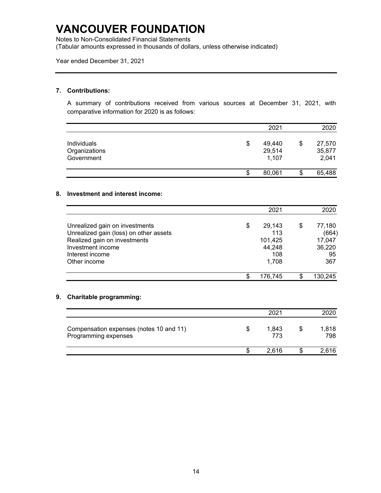Notes to Non-Consolidated Financial Statements (Tabular amounts expressed in thousands of dollars, unless otherwise indicated)

Year ended December 31, 2021

#### **7. Contributions:**

A summary of contributions received from various sources at December 31, 2021, with comparative information for 2020 is as follows:

|                                                   | 2021            | 2020            |
|---------------------------------------------------|-----------------|-----------------|
| Individuals                                       | \$<br>49,440    | \$<br>27,570    |
| Organizations<br>Government                       | 29,514<br>1,107 | 35,877<br>2,041 |
|                                                   |                 |                 |
|                                                   | \$<br>80,061    | \$<br>65,488    |
| 8.<br>Investment and interest income:             |                 |                 |
|                                                   | 2021            | 2020            |
|                                                   |                 |                 |
| Unrealized gain on investments                    | \$<br>29,143    | \$<br>77,180    |
| Unrealized gain (loss) on other assets            | 113<br>101,425  | (664)<br>17,047 |
| Realized gain on investments<br>Investment income | 44,248          | 36,220          |
| Interest income<br>Other income                   | 108<br>1,708    | 95<br>367       |

#### **9. Charitable programming:**

|                                                                 |    | 2021         | 2020         |
|-----------------------------------------------------------------|----|--------------|--------------|
| Compensation expenses (notes 10 and 11)<br>Programming expenses | \$ | 1,843<br>773 | 1,818<br>798 |
|                                                                 | æ  | 2.616        | 2.616        |

\$ 176,745 \$ 130,245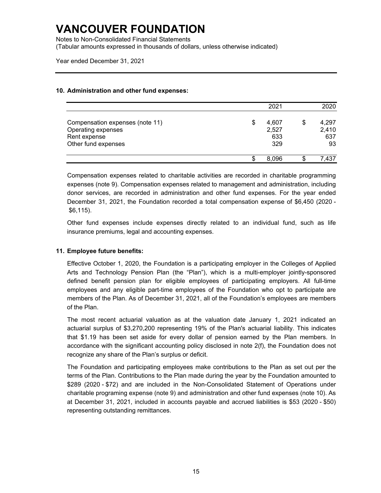Notes to Non-Consolidated Financial Statements (Tabular amounts expressed in thousands of dollars, unless otherwise indicated)

Year ended December 31, 2021

|                                                                                              | 2021                               |   | 2020                        |
|----------------------------------------------------------------------------------------------|------------------------------------|---|-----------------------------|
| Compensation expenses (note 11)<br>Operating expenses<br>Rent expense<br>Other fund expenses | \$<br>4,607<br>2,527<br>633<br>329 | S | 4,297<br>2,410<br>637<br>93 |
|                                                                                              | 8.096                              |   | 7.437                       |

### **10. Administration and other fund expenses:**

Compensation expenses related to charitable activities are recorded in charitable programming expenses (note 9). Compensation expenses related to management and administration, including donor services, are recorded in administration and other fund expenses. For the year ended December 31, 2021, the Foundation recorded a total compensation expense of \$6,450 (2020 - \$6,115).

Other fund expenses include expenses directly related to an individual fund, such as life insurance premiums, legal and accounting expenses.

### **11. Employee future benefits:**

Effective October 1, 2020, the Foundation is a participating employer in the Colleges of Applied Arts and Technology Pension Plan (the "Plan"), which is a multi-employer jointly-sponsored defined benefit pension plan for eligible employees of participating employers. All full-time employees and any eligible part-time employees of the Foundation who opt to participate are members of the Plan. As of December 31, 2021, all of the Foundation's employees are members of the Plan.

The most recent actuarial valuation as at the valuation date January 1, 2021 indicated an actuarial surplus of \$3,270,200 representing 19% of the Plan's actuarial liability. This indicates that \$1.19 has been set aside for every dollar of pension earned by the Plan members. In accordance with the significant accounting policy disclosed in note 2(f), the Foundation does not recognize any share of the Plan's surplus or deficit.

The Foundation and participating employees make contributions to the Plan as set out per the terms of the Plan. Contributions to the Plan made during the year by the Foundation amounted to \$289 (2020 - \$72) and are included in the Non-Consolidated Statement of Operations under charitable programing expense (note 9) and administration and other fund expenses (note 10). As at December 31, 2021, included in accounts payable and accrued liabilities is \$53 (2020 - \$50) representing outstanding remittances.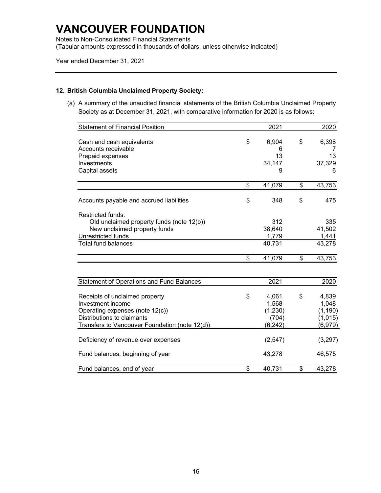Notes to Non-Consolidated Financial Statements (Tabular amounts expressed in thousands of dollars, unless otherwise indicated)

#### Year ended December 31, 2021

### **12. British Columbia Unclaimed Property Society:**

(a) A summary of the unaudited financial statements of the British Columbia Unclaimed Property Society as at December 31, 2021, with comparative information for 2020 is as follows:

| <b>Statement of Financial Position</b>           | 2021         | 2020         |
|--------------------------------------------------|--------------|--------------|
| Cash and cash equivalents<br>Accounts receivable | \$<br>6,904  | \$<br>6,398  |
| Prepaid expenses                                 | 6<br>13      | 7<br>13      |
| Investments                                      | 34,147       | 37,329       |
| Capital assets                                   | 9            | 6            |
|                                                  | \$<br>41,079 | \$<br>43,753 |
| Accounts payable and accrued liabilities         | \$<br>348    | \$<br>475    |
| Restricted funds:                                |              |              |
| Old unclaimed property funds (note 12(b))        | 312          | 335          |
| New unclaimed property funds                     | 38,640       | 41,502       |
| Unrestricted funds                               | 1,779        | 1,441        |
| <b>Total fund balances</b>                       | 40,731       | 43,278       |
|                                                  | \$<br>41,079 | \$<br>43,753 |
| <b>Statement of Operations and Fund Balances</b> | 2021         | 2020         |
| Receipts of unclaimed property                   | \$<br>4,061  | \$<br>4,839  |
| Investment income                                | 1,568        | 1,048        |
| Operating expenses (note 12(c))                  | (1,230)      | (1, 190)     |
| Distributions to claimants                       | (704)        | (1,015)      |
| Transfers to Vancouver Foundation (note 12(d))   | (6, 242)     | (6,979)      |
| Deficiency of revenue over expenses              | (2, 547)     | (3,297)      |
| Fund balances, beginning of year                 | 43,278       | 46,575       |
| Fund balances, end of year                       | \$<br>40,731 | \$<br>43,278 |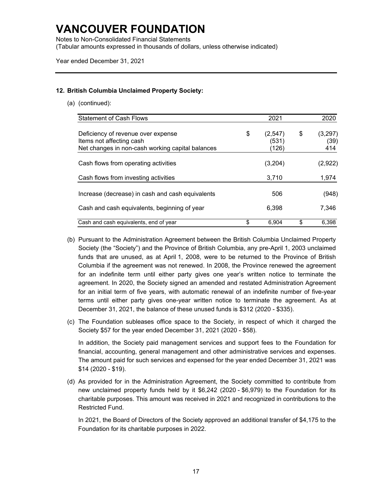Notes to Non-Consolidated Financial Statements (Tabular amounts expressed in thousands of dollars, unless otherwise indicated)

#### Year ended December 31, 2021

### **12. British Columbia Unclaimed Property Society:**

(a) (continued):

| <b>Statement of Cash Flows</b>                                                                                     | 2021                            | 2020                         |
|--------------------------------------------------------------------------------------------------------------------|---------------------------------|------------------------------|
| Deficiency of revenue over expense<br>Items not affecting cash<br>Net changes in non-cash working capital balances | \$<br>(2,547)<br>(531)<br>(126) | \$<br>(3,297)<br>(39)<br>414 |
| Cash flows from operating activities                                                                               | (3,204)                         | (2,922)                      |
| Cash flows from investing activities                                                                               | 3,710                           | 1,974                        |
| Increase (decrease) in cash and cash equivalents                                                                   | 506                             | (948)                        |
| Cash and cash equivalents, beginning of year                                                                       | 6,398                           | 7,346                        |
| Cash and cash equivalents, end of year                                                                             | \$<br>6.904                     | \$<br>6.398                  |

- (b) Pursuant to the Administration Agreement between the British Columbia Unclaimed Property Society (the "Society") and the Province of British Columbia, any pre-April 1, 2003 unclaimed funds that are unused, as at April 1, 2008, were to be returned to the Province of British Columbia if the agreement was not renewed. In 2008, the Province renewed the agreement for an indefinite term until either party gives one year's written notice to terminate the agreement. In 2020, the Society signed an amended and restated Administration Agreement for an initial term of five years, with automatic renewal of an indefinite number of five-year terms until either party gives one-year written notice to terminate the agreement. As at December 31, 2021, the balance of these unused funds is \$312 (2020 - \$335).
- (c) The Foundation subleases office space to the Society, in respect of which it charged the Society \$57 for the year ended December 31, 2021 (2020 - \$58).

In addition, the Society paid management services and support fees to the Foundation for financial, accounting, general management and other administrative services and expenses. The amount paid for such services and expensed for the year ended December 31, 2021 was \$14 (2020 - \$19).

(d) As provided for in the Administration Agreement, the Society committed to contribute from new unclaimed property funds held by it \$6,242 (2020 - \$6,979) to the Foundation for its charitable purposes. This amount was received in 2021 and recognized in contributions to the Restricted Fund.

In 2021, the Board of Directors of the Society approved an additional transfer of \$4,175 to the Foundation for its charitable purposes in 2022.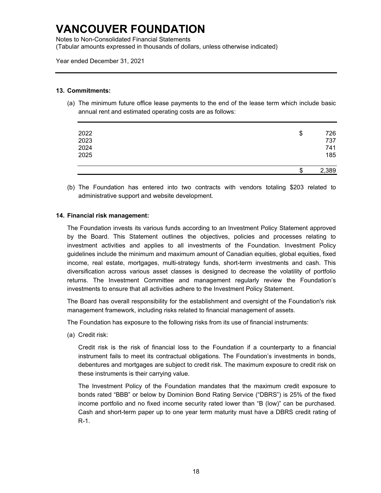Notes to Non-Consolidated Financial Statements (Tabular amounts expressed in thousands of dollars, unless otherwise indicated)

Year ended December 31, 2021

#### **13. Commitments:**

(a) The minimum future office lease payments to the end of the lease term which include basic annual rent and estimated operating costs are as follows:

| 2022<br>2023<br>2024<br>2025 | \$<br>726<br>737<br>741<br>185 |
|------------------------------|--------------------------------|
|                              | \$<br>2,389                    |

(b) The Foundation has entered into two contracts with vendors totaling \$203 related to administrative support and website development.

#### **14. Financial risk management:**

The Foundation invests its various funds according to an Investment Policy Statement approved by the Board. This Statement outlines the objectives, policies and processes relating to investment activities and applies to all investments of the Foundation. Investment Policy guidelines include the minimum and maximum amount of Canadian equities, global equities, fixed income, real estate, mortgages, multi-strategy funds, short-term investments and cash. This diversification across various asset classes is designed to decrease the volatility of portfolio returns. The Investment Committee and management regularly review the Foundation's investments to ensure that all activities adhere to the Investment Policy Statement.

The Board has overall responsibility for the establishment and oversight of the Foundation's risk management framework, including risks related to financial management of assets.

The Foundation has exposure to the following risks from its use of financial instruments:

(a) Credit risk:

Credit risk is the risk of financial loss to the Foundation if a counterparty to a financial instrument fails to meet its contractual obligations. The Foundation's investments in bonds, debentures and mortgages are subject to credit risk. The maximum exposure to credit risk on these instruments is their carrying value.

The Investment Policy of the Foundation mandates that the maximum credit exposure to bonds rated "BBB" or below by Dominion Bond Rating Service ("DBRS") is 25% of the fixed income portfolio and no fixed income security rated lower than "B (low)" can be purchased. Cash and short-term paper up to one year term maturity must have a DBRS credit rating of R-1.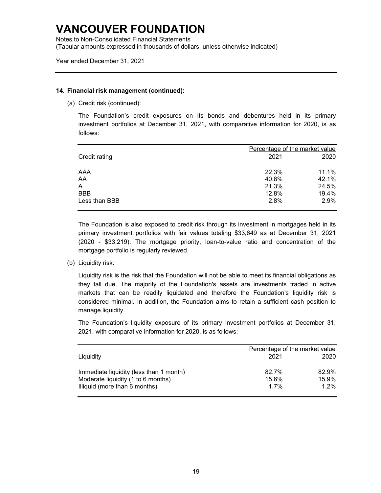Notes to Non-Consolidated Financial Statements (Tabular amounts expressed in thousands of dollars, unless otherwise indicated)

Year ended December 31, 2021

### **14. Financial risk management (continued):**

(a) Credit risk (continued):

The Foundation's credit exposures on its bonds and debentures held in its primary investment portfolios at December 31, 2021, with comparative information for 2020, is as follows:

|               |       | Percentage of the market value |  |  |  |
|---------------|-------|--------------------------------|--|--|--|
| Credit rating | 2021  | 2020                           |  |  |  |
| AAA           | 22.3% | 11.1%                          |  |  |  |
| AA            | 40.8% | 42.1%                          |  |  |  |
| A             | 21.3% | 24.5%                          |  |  |  |
| <b>BBB</b>    | 12.8% | 19.4%                          |  |  |  |
| Less than BBB | 2.8%  | 2.9%                           |  |  |  |

The Foundation is also exposed to credit risk through its investment in mortgages held in its primary investment portfolios with fair values totaling \$33,649 as at December 31, 2021 (2020 - \$33,219). The mortgage priority, loan-to-value ratio and concentration of the mortgage portfolio is regularly reviewed.

(b) Liquidity risk:

Liquidity risk is the risk that the Foundation will not be able to meet its financial obligations as they fall due. The majority of the Foundation's assets are investments traded in active markets that can be readily liquidated and therefore the Foundation's liquidity risk is considered minimal. In addition, the Foundation aims to retain a sufficient cash position to manage liquidity.

The Foundation's liquidity exposure of its primary investment portfolios at December 31, 2021, with comparative information for 2020, is as follows:

|                                                                                                                | Percentage of the market value     |                           |  |
|----------------------------------------------------------------------------------------------------------------|------------------------------------|---------------------------|--|
| Liquidity                                                                                                      | 2021                               |                           |  |
| Immediate liquidity (less than 1 month)<br>Moderate liquidity (1 to 6 months)<br>Illiquid (more than 6 months) | 82.7%<br>15.6%<br>1 7 <sub>%</sub> | 82.9%<br>15.9%<br>$1.2\%$ |  |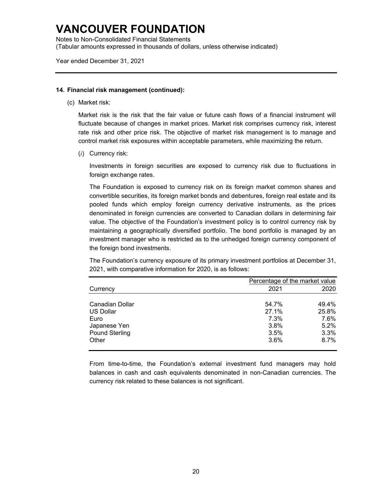Notes to Non-Consolidated Financial Statements (Tabular amounts expressed in thousands of dollars, unless otherwise indicated)

Year ended December 31, 2021

#### **14. Financial risk management (continued):**

(c) Market risk:

Market risk is the risk that the fair value or future cash flows of a financial instrument will fluctuate because of changes in market prices. Market risk comprises currency risk, interest rate risk and other price risk. The objective of market risk management is to manage and control market risk exposures within acceptable parameters, while maximizing the return.

(*i*) Currency risk:

Investments in foreign securities are exposed to currency risk due to fluctuations in foreign exchange rates.

The Foundation is exposed to currency risk on its foreign market common shares and convertible securities, its foreign market bonds and debentures, foreign real estate and its pooled funds which employ foreign currency derivative instruments, as the prices denominated in foreign currencies are converted to Canadian dollars in determining fair value. The objective of the Foundation's investment policy is to control currency risk by maintaining a geographically diversified portfolio. The bond portfolio is managed by an investment manager who is restricted as to the unhedged foreign currency component of the foreign bond investments.

The Foundation's currency exposure of its primary investment portfolios at December 31, 2021, with comparative information for 2020, is as follows:

|                       | Percentage of the market value |         |  |
|-----------------------|--------------------------------|---------|--|
| Currency              | 2021                           | 2020    |  |
| Canadian Dollar       | 54.7%                          | 49.4%   |  |
| <b>US Dollar</b>      | 27.1%                          | 25.8%   |  |
| Euro                  | 7.3%                           | 7.6%    |  |
| Japanese Yen          | 3.8%                           | 5.2%    |  |
| <b>Pound Sterling</b> | 3.5%                           | 3.3%    |  |
| Other                 | 3.6%                           | $8.7\%$ |  |
|                       |                                |         |  |

From time-to-time, the Foundation's external investment fund managers may hold balances in cash and cash equivalents denominated in non-Canadian currencies. The currency risk related to these balances is not significant.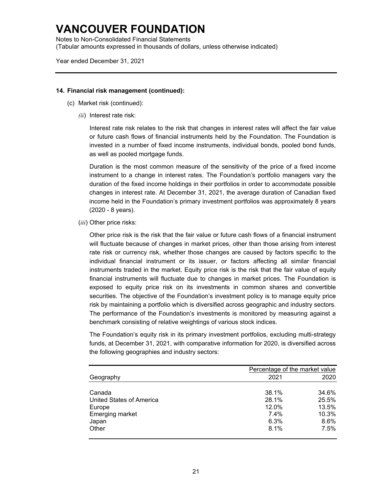Notes to Non-Consolidated Financial Statements (Tabular amounts expressed in thousands of dollars, unless otherwise indicated)

Year ended December 31, 2021

#### **14. Financial risk management (continued):**

- (c) Market risk (continued):
	- *(ii*) Interest rate risk:

Interest rate risk relates to the risk that changes in interest rates will affect the fair value or future cash flows of financial instruments held by the Foundation. The Foundation is invested in a number of fixed income instruments, individual bonds, pooled bond funds, as well as pooled mortgage funds.

Duration is the most common measure of the sensitivity of the price of a fixed income instrument to a change in interest rates. The Foundation's portfolio managers vary the duration of the fixed income holdings in their portfolios in order to accommodate possible changes in interest rate. At December 31, 2021, the average duration of Canadian fixed income held in the Foundation's primary investment portfolios was approximately 8 years (2020 - 8 years).

(*iii*) Other price risks:

Other price risk is the risk that the fair value or future cash flows of a financial instrument will fluctuate because of changes in market prices, other than those arising from interest rate risk or currency risk, whether those changes are caused by factors specific to the individual financial instrument or its issuer, or factors affecting all similar financial instruments traded in the market. Equity price risk is the risk that the fair value of equity financial instruments will fluctuate due to changes in market prices. The Foundation is exposed to equity price risk on its investments in common shares and convertible securities. The objective of the Foundation's investment policy is to manage equity price risk by maintaining a portfolio which is diversified across geographic and industry sectors. The performance of the Foundation's investments is monitored by measuring against a benchmark consisting of relative weightings of various stock indices.

The Foundation's equity risk in its primary investment portfolios, excluding multi-strategy funds, at December 31, 2021, with comparative information for 2020, is diversified across the following geographies and industry sectors:

|                                 | Percentage of the market value |       |  |
|---------------------------------|--------------------------------|-------|--|
| Geography                       | 2021                           | 2020  |  |
| Canada                          | 38.1%                          | 34.6% |  |
| <b>United States of America</b> | 28.1%                          | 25.5% |  |
| Europe                          | 12.0%                          | 13.5% |  |
| Emerging market                 | 7.4%                           | 10.3% |  |
| Japan                           | 6.3%                           | 8.6%  |  |
| Other                           | 8.1%                           | 7.5%  |  |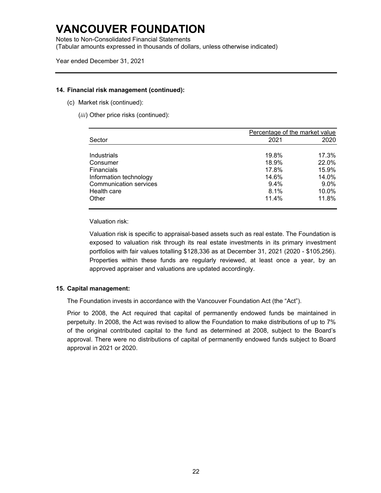Notes to Non-Consolidated Financial Statements (Tabular amounts expressed in thousands of dollars, unless otherwise indicated)

Year ended December 31, 2021

#### **14. Financial risk management (continued):**

- (c) Market risk (continued):
	- (*iii*) Other price risks (continued):

|                               |       | Percentage of the market value |  |  |
|-------------------------------|-------|--------------------------------|--|--|
| Sector                        | 2021  | 2020                           |  |  |
| Industrials                   | 19.8% | 17.3%                          |  |  |
| Consumer                      | 18.9% | 22.0%                          |  |  |
| Financials                    | 17.8% | 15.9%                          |  |  |
| Information technology        | 14.6% | 14.0%                          |  |  |
| <b>Communication services</b> | 9.4%  | $9.0\%$                        |  |  |
| Health care                   | 8.1%  | 10.0%                          |  |  |
| Other                         | 11.4% | 11.8%                          |  |  |

Valuation risk:

Valuation risk is specific to appraisal-based assets such as real estate. The Foundation is exposed to valuation risk through its real estate investments in its primary investment portfolios with fair values totalling \$128,336 as at December 31, 2021 (2020 - \$105,256). Properties within these funds are regularly reviewed, at least once a year, by an approved appraiser and valuations are updated accordingly.

### **15. Capital management:**

The Foundation invests in accordance with the Vancouver Foundation Act (the "Act").

Prior to 2008, the Act required that capital of permanently endowed funds be maintained in perpetuity. In 2008, the Act was revised to allow the Foundation to make distributions of up to 7% of the original contributed capital to the fund as determined at 2008, subject to the Board's approval. There were no distributions of capital of permanently endowed funds subject to Board approval in 2021 or 2020.